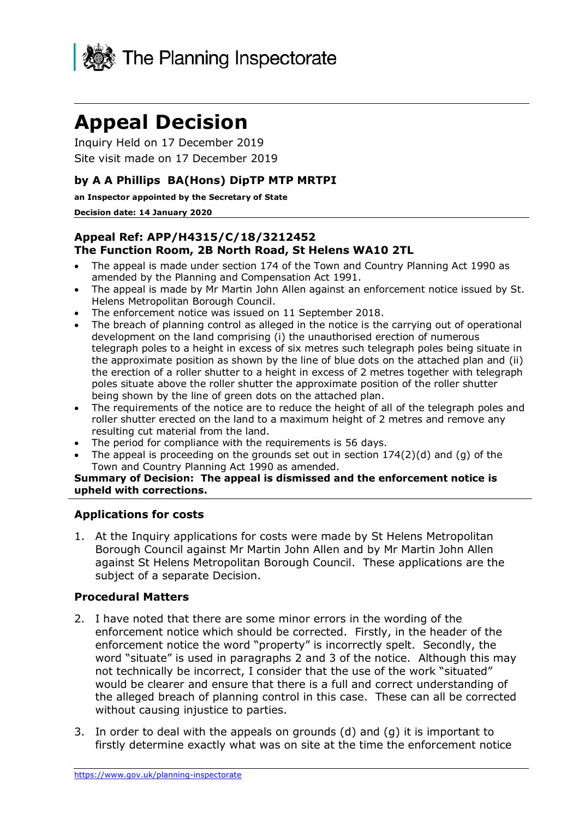

# **Appeal Decision**

Inquiry Held on 17 December 2019 Site visit made on 17 December 2019

### **by A A Phillips BA(Hons) DipTP MTP MRTPI**

**an Inspector appointed by the Secretary of State** 

#### **Decision date: 14 January 2020**

#### **Appeal Ref: APP/H4315/C/18/3212452 The Function Room, 2B North Road, St Helens WA10 2TL**

- The appeal is made under section 174 of the Town and Country Planning Act 1990 as amended by the Planning and Compensation Act 1991.
- The appeal is made by Mr Martin John Allen against an enforcement notice issued by St. Helens Metropolitan Borough Council.
- The enforcement notice was issued on 11 September 2018.
- The breach of planning control as alleged in the notice is the carrying out of operational development on the land comprising (i) the unauthorised erection of numerous telegraph poles to a height in excess of six metres such telegraph poles being situate in the approximate position as shown by the line of blue dots on the attached plan and (ii) the erection of a roller shutter to a height in excess of 2 metres together with telegraph poles situate above the roller shutter the approximate position of the roller shutter being shown by the line of green dots on the attached plan.
- The requirements of the notice are to reduce the height of all of the telegraph poles and roller shutter erected on the land to a maximum height of 2 metres and remove any resulting cut material from the land.
- The period for compliance with the requirements is 56 days.
- The appeal is proceeding on the grounds set out in section  $174(2)(d)$  and (g) of the Town and Country Planning Act 1990 as amended.

**Summary of Decision: The appeal is dismissed and the enforcement notice is upheld with corrections.**

#### **Applications for costs**

1. At the Inquiry applications for costs were made by St Helens Metropolitan Borough Council against Mr Martin John Allen and by Mr Martin John Allen against St Helens Metropolitan Borough Council. These applications are the subject of a separate Decision.

#### **Procedural Matters**

- 2. I have noted that there are some minor errors in the wording of the enforcement notice which should be corrected. Firstly, in the header of the enforcement notice the word "property" is incorrectly spelt. Secondly, the word "situate" is used in paragraphs 2 and 3 of the notice. Although this may not technically be incorrect, I consider that the use of the work "situated" would be clearer and ensure that there is a full and correct understanding of the alleged breach of planning control in this case. These can all be corrected without causing injustice to parties.
- 3. In order to deal with the appeals on grounds (d) and (g) it is important to firstly determine exactly what was on site at the time the enforcement notice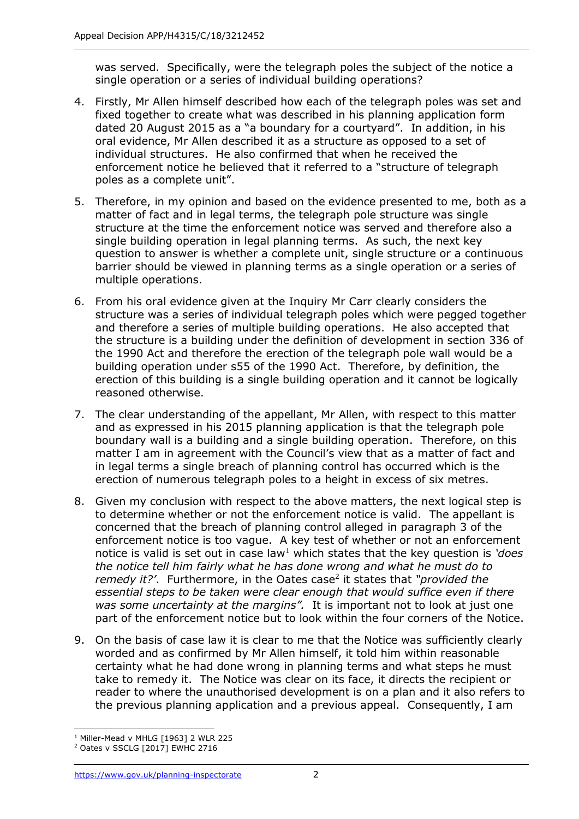was served. Specifically, were the telegraph poles the subject of the notice a single operation or a series of individual building operations?

- 4. Firstly, Mr Allen himself described how each of the telegraph poles was set and fixed together to create what was described in his planning application form dated 20 August 2015 as a "a boundary for a courtyard". In addition, in his oral evidence, Mr Allen described it as a structure as opposed to a set of individual structures. He also confirmed that when he received the enforcement notice he believed that it referred to a "structure of telegraph poles as a complete unit".
- 5. Therefore, in my opinion and based on the evidence presented to me, both as a matter of fact and in legal terms, the telegraph pole structure was single structure at the time the enforcement notice was served and therefore also a single building operation in legal planning terms. As such, the next key question to answer is whether a complete unit, single structure or a continuous barrier should be viewed in planning terms as a single operation or a series of multiple operations.
- 6. From his oral evidence given at the Inquiry Mr Carr clearly considers the structure was a series of individual telegraph poles which were pegged together and therefore a series of multiple building operations. He also accepted that the structure is a building under the definition of development in section 336 of the 1990 Act and therefore the erection of the telegraph pole wall would be a building operation under s55 of the 1990 Act. Therefore, by definition, the erection of this building is a single building operation and it cannot be logically reasoned otherwise.
- 7. The clear understanding of the appellant, Mr Allen, with respect to this matter and as expressed in his 2015 planning application is that the telegraph pole boundary wall is a building and a single building operation. Therefore, on this matter I am in agreement with the Council's view that as a matter of fact and in legal terms a single breach of planning control has occurred which is the erection of numerous telegraph poles to a height in excess of six metres.
- 8. Given my conclusion with respect to the above matters, the next logical step is to determine whether or not the enforcement notice is valid. The appellant is concerned that the breach of planning control alleged in paragraph 3 of the enforcement notice is too vague. A key test of whether or not an enforcement notice is valid is set out in case law<sup>1</sup> which states that the key question is *'does the notice tell him fairly what he has done wrong and what he must do to remedy it?'.* Furthermore, in the Oates case<sup>2</sup> it states that "*provided the essential steps to be taken were clear enough that would suffice even if there was some uncertainty at the margins".* It is important not to look at just one part of the enforcement notice but to look within the four corners of the Notice.
- 9. On the basis of case law it is clear to me that the Notice was sufficiently clearly worded and as confirmed by Mr Allen himself, it told him within reasonable certainty what he had done wrong in planning terms and what steps he must take to remedy it. The Notice was clear on its face, it directs the recipient or reader to where the unauthorised development is on a plan and it also refers to the previous planning application and a previous appeal. Consequently, I am

<sup>-</sup> $1$  Miller-Mead v MHLG [1963] 2 WLR 225

<sup>2</sup> Oates v SSCLG [2017] EWHC 2716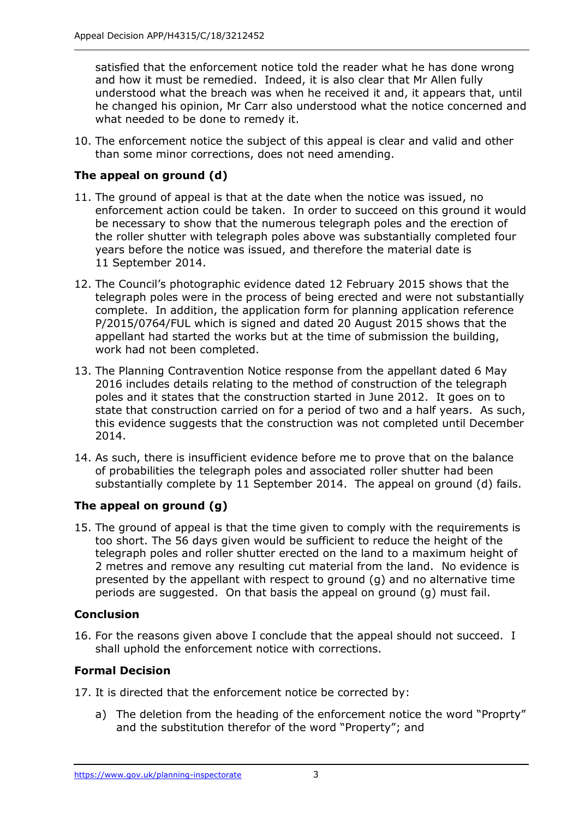satisfied that the enforcement notice told the reader what he has done wrong and how it must be remedied. Indeed, it is also clear that Mr Allen fully understood what the breach was when he received it and, it appears that, until he changed his opinion, Mr Carr also understood what the notice concerned and what needed to be done to remedy it.

10. The enforcement notice the subject of this appeal is clear and valid and other than some minor corrections, does not need amending.

## **The appeal on ground (d)**

- 11. The ground of appeal is that at the date when the notice was issued, no enforcement action could be taken. In order to succeed on this ground it would be necessary to show that the numerous telegraph poles and the erection of the roller shutter with telegraph poles above was substantially completed four years before the notice was issued, and therefore the material date is 11 September 2014.
- 12. The Council's photographic evidence dated 12 February 2015 shows that the telegraph poles were in the process of being erected and were not substantially complete. In addition, the application form for planning application reference P/2015/0764/FUL which is signed and dated 20 August 2015 shows that the appellant had started the works but at the time of submission the building, work had not been completed.
- 13. The Planning Contravention Notice response from the appellant dated 6 May 2016 includes details relating to the method of construction of the telegraph poles and it states that the construction started in June 2012. It goes on to state that construction carried on for a period of two and a half years. As such, this evidence suggests that the construction was not completed until December 2014.
- 14. As such, there is insufficient evidence before me to prove that on the balance of probabilities the telegraph poles and associated roller shutter had been substantially complete by 11 September 2014. The appeal on ground (d) fails.

## **The appeal on ground (g)**

15. The ground of appeal is that the time given to comply with the requirements is too short. The 56 days given would be sufficient to reduce the height of the telegraph poles and roller shutter erected on the land to a maximum height of 2 metres and remove any resulting cut material from the land. No evidence is presented by the appellant with respect to ground (g) and no alternative time periods are suggested. On that basis the appeal on ground (g) must fail.

## **Conclusion**

16. For the reasons given above I conclude that the appeal should not succeed. I shall uphold the enforcement notice with corrections.

## **Formal Decision**

- 17. It is directed that the enforcement notice be corrected by:
	- a) The deletion from the heading of the enforcement notice the word "Proprty" and the substitution therefor of the word "Property"; and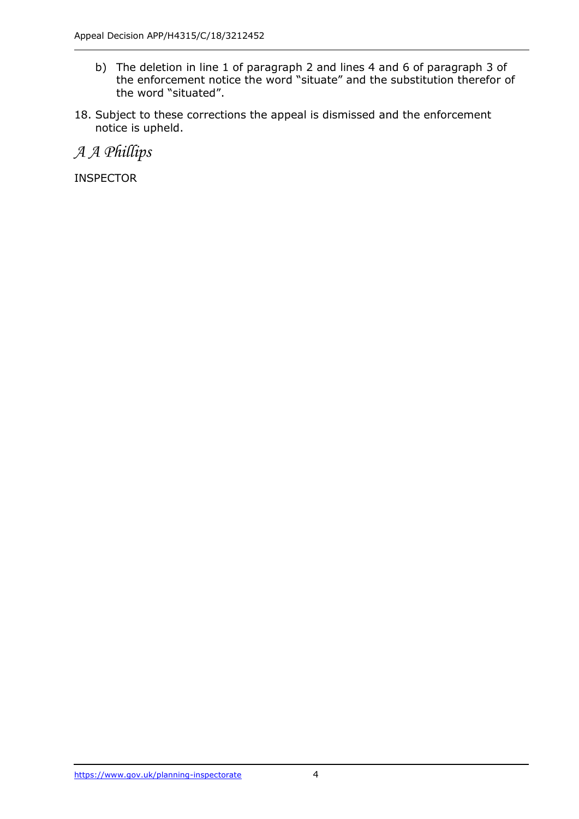- b) The deletion in line 1 of paragraph 2 and lines 4 and 6 of paragraph 3 of the enforcement notice the word "situate" and the substitution therefor of the word "situated".
- 18. Subject to these corrections the appeal is dismissed and the enforcement notice is upheld.

*A A Phillips*

INSPECTOR